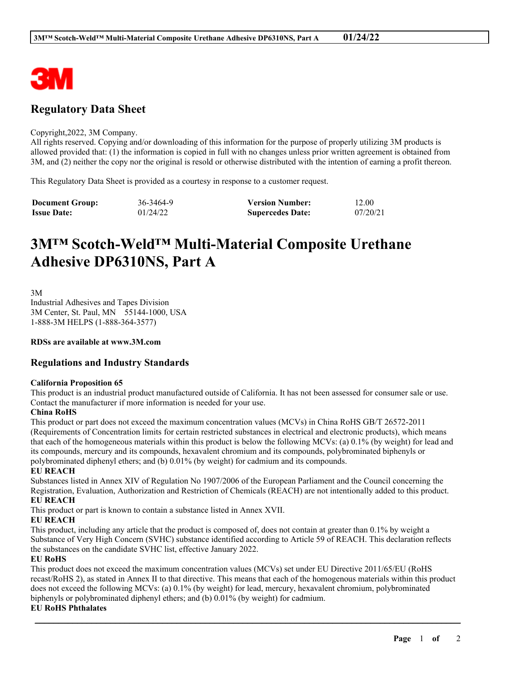

# **Regulatory Data Sheet**

#### Copyright,2022, 3M Company.

All rights reserved. Copying and/or downloading of this information for the purpose of properly utilizing 3M products is allowed provided that: (1) the information is copied in full with no changes unless prior written agreement is obtained from 3M, and (2) neither the copy nor the original is resold or otherwise distributed with the intention of earning a profit thereon.

This Regulatory Data Sheet is provided as a courtesy in response to a customer request.

| <b>Document Group:</b> | 36-3464-9 | <b>Version Number:</b>  | 12.00    |
|------------------------|-----------|-------------------------|----------|
| <b>Issue Date:</b>     | 01/24/22  | <b>Supercedes Date:</b> | 07/20/21 |

# **3M™ Scotch-Weld™ Multi-Material Composite Urethane Adhesive DP6310NS, Part A**

3M Industrial Adhesives and Tapes Division 3M Center, St. Paul, MN 55144-1000, USA 1-888-3M HELPS (1-888-364-3577)

**RDSs are available at www.3M.com**

# **Regulations and Industry Standards**

#### **California Proposition 65**

This product is an industrial product manufactured outside of California. It has not been assessed for consumer sale or use. Contact the manufacturer if more information is needed for your use.

### **China RoHS**

This product or part does not exceed the maximum concentration values (MCVs) in China RoHS GB/T 26572-2011 (Requirements of Concentration limits for certain restricted substances in electrical and electronic products), which means that each of the homogeneous materials within this product is below the following MCVs: (a) 0.1% (by weight) for lead and its compounds, mercury and its compounds, hexavalent chromium and its compounds, polybrominated biphenyls or polybrominated diphenyl ethers; and (b) 0.01% (by weight) for cadmium and its compounds.

#### **EU REACH**

Substances listed in Annex XIV of Regulation No 1907/2006 of the European Parliament and the Council concerning the Registration, Evaluation, Authorization and Restriction of Chemicals (REACH) are not intentionally added to this product. **EU REACH**

This product or part is known to contain a substance listed in Annex XVII.

### **EU REACH**

This product, including any article that the product is composed of, does not contain at greater than 0.1% by weight a Substance of Very High Concern (SVHC) substance identified according to Article 59 of REACH. This declaration reflects the substances on the candidate SVHC list, effective January 2022.

### **EU RoHS**

This product does not exceed the maximum concentration values (MCVs) set under EU Directive 2011/65/EU (RoHS recast/RoHS 2), as stated in Annex II to that directive. This means that each of the homogenous materials within this product does not exceed the following MCVs: (a) 0.1% (by weight) for lead, mercury, hexavalent chromium, polybrominated biphenyls or polybrominated diphenyl ethers; and (b) 0.01% (by weight) for cadmium.

\_\_\_\_\_\_\_\_\_\_\_\_\_\_\_\_\_\_\_\_\_\_\_\_\_\_\_\_\_\_\_\_\_\_\_\_\_\_\_\_\_\_\_\_\_\_\_\_\_\_\_\_\_\_\_\_\_\_\_\_\_\_\_\_\_\_\_\_\_\_\_\_\_\_\_\_\_\_\_\_\_\_\_\_\_\_\_\_\_\_

#### **EU RoHS Phthalates**